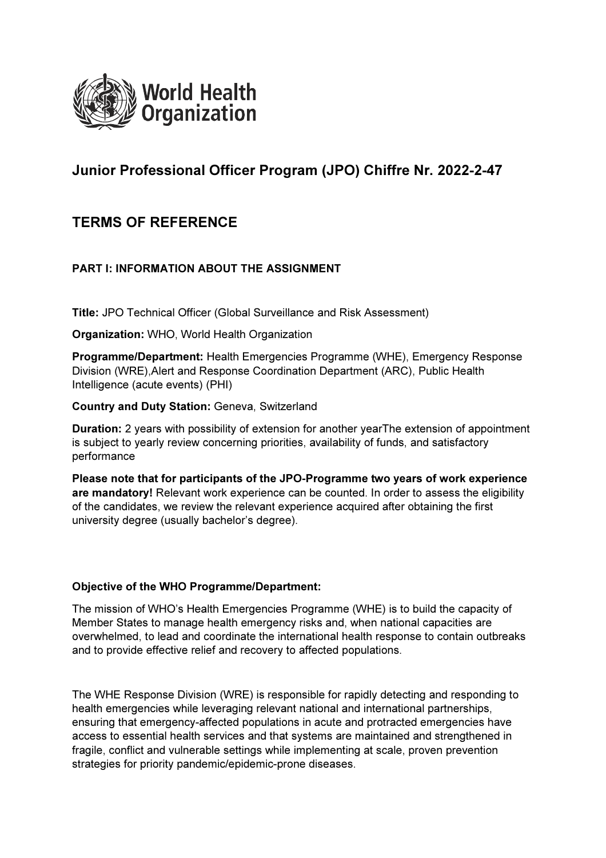

# Junior Professional Officer Program (JPO) Chiffre Nr. 2022-2-47

# TERMS OF REFERENCE

# PART I: INFORMATION ABOUT THE ASSIGNMENT

Title: JPO Technical Officer (Global Surveillance and Risk Assessment)

Organization: WHO, World Health Organization

Programme/Department: Health Emergencies Programme (WHE), Emergency Response Division (WRE),Alert and Response Coordination Department (ARC), Public Health Intelligence (acute events) (PHI)

Country and Duty Station: Geneva, Switzerland

Duration: 2 years with possibility of extension for another yearThe extension of appointment is subject to yearly review concerning priorities, availability of funds, and satisfactory performance

Please note that for participants of the JPO-Programme two years of work experience are mandatory! Relevant work experience can be counted. In order to assess the eligibility of the candidates, we review the relevant experience acquired after obtaining the first university degree (usually bachelor's degree).

## Objective of the WHO Programme/Department:

The mission of WHO's Health Emergencies Programme (WHE) is to build the capacity of Member States to manage health emergency risks and, when national capacities are overwhelmed, to lead and coordinate the international health response to contain outbreaks and to provide effective relief and recovery to affected populations.

The WHE Response Division (WRE) is responsible for rapidly detecting and responding to health emergencies while leveraging relevant national and international partnerships, ensuring that emergency-affected populations in acute and protracted emergencies have access to essential health services and that systems are maintained and strengthened in fragile, conflict and vulnerable settings while implementing at scale, proven prevention strategies for priority pandemic/epidemic-prone diseases.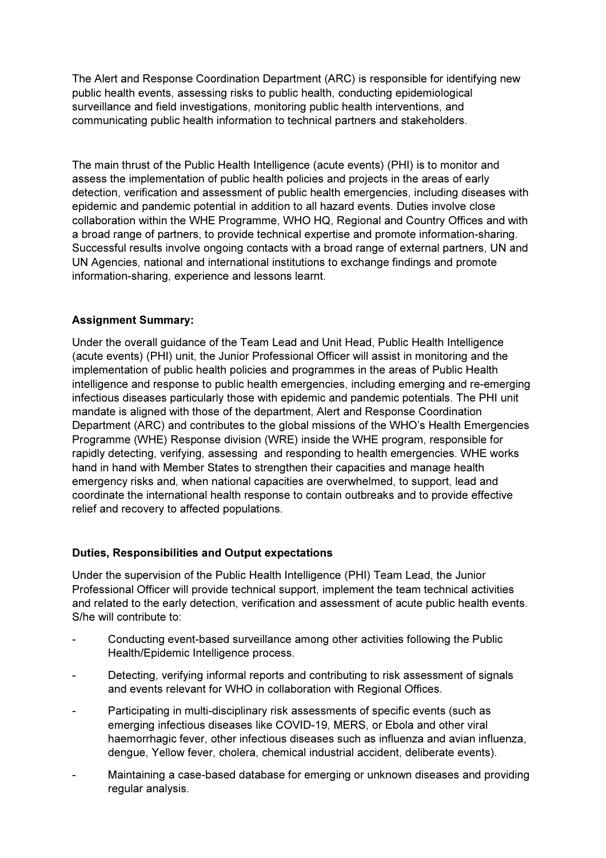The Alert and Response Coordination Department (ARC) is responsible for identifying new public health events, assessing risks to public health, conducting epidemiological surveillance and field investigations, monitoring public health interventions, and communicating public health information to technical partners and stakeholders.

The main thrust of the Public Health Intelligence (acute events) (PHI) is to monitor and assess the implementation of public health policies and projects in the areas of early detection, verification and assessment of public health emergencies, including diseases with epidemic and pandemic potential in addition to all hazard events. Duties involve close collaboration within the WHE Programme, WHO HQ, Regional and Country Offices and with a broad range of partners, to provide technical expertise and promote information-sharing. Successful results involve ongoing contacts with a broad range of external partners, UN and UN Agencies, national and international institutions to exchange findings and promote information-sharing, experience and lessons learnt.

# Assignment Summary:

Under the overall guidance of the Team Lead and Unit Head, Public Health Intelligence (acute events) (PHI) unit, the Junior Professional Officer will assist in monitoring and the implementation of public health policies and programmes in the areas of Public Health intelligence and response to public health emergencies, including emerging and re-emerging infectious diseases particularly those with epidemic and pandemic potentials. The PHI unit mandate is aligned with those of the department, Alert and Response Coordination Department (ARC) and contributes to the global missions of the WHO's Health Emergencies Programme (WHE) Response division (WRE) inside the WHE program, responsible for rapidly detecting, verifying, assessing and responding to health emergencies. WHE works hand in hand with Member States to strengthen their capacities and manage health emergency risks and, when national capacities are overwhelmed, to support, lead and coordinate the international health response to contain outbreaks and to provide effective relief and recovery to affected populations.

# Duties, Responsibilities and Output expectations

Under the supervision of the Public Health Intelligence (PHI) Team Lead, the Junior Professional Officer will provide technical support, implement the team technical activities and related to the early detection, verification and assessment of acute public health events. S/he will contribute to:

- Conducting event-based surveillance among other activities following the Public Health/Epidemic Intelligence process.
- Detecting, verifying informal reports and contributing to risk assessment of signals and events relevant for WHO in collaboration with Regional Offices.
- Participating in multi-disciplinary risk assessments of specific events (such as emerging infectious diseases like COVID-19, MERS, or Ebola and other viral haemorrhagic fever, other infectious diseases such as influenza and avian influenza, dengue, Yellow fever, cholera, chemical industrial accident, deliberate events).
- Maintaining a case-based database for emerging or unknown diseases and providing regular analysis.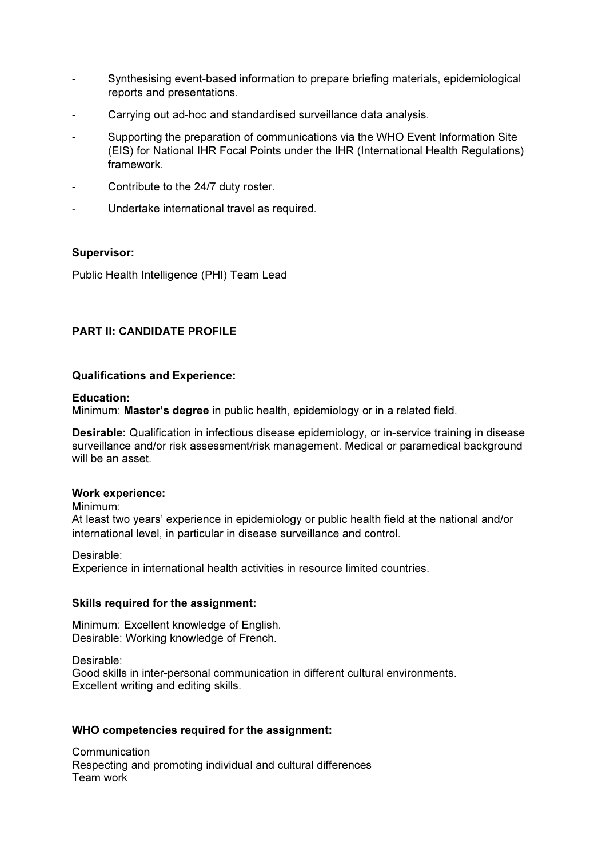- Synthesising event-based information to prepare briefing materials, epidemiological reports and presentations.
- Carrying out ad-hoc and standardised surveillance data analysis.
- Supporting the preparation of communications via the WHO Event Information Site (EIS) for National IHR Focal Points under the IHR (International Health Regulations) framework.
- Contribute to the 24/7 duty roster.
- Undertake international travel as required.

## Supervisor:

Public Health Intelligence (PHI) Team Lead

## PART II: CANDIDATE PROFILE

## Qualifications and Experience:

### Education:

Minimum: Master's degree in public health, epidemiology or in a related field.

Desirable: Qualification in infectious disease epidemiology, or in-service training in disease surveillance and/or risk assessment/risk management. Medical or paramedical background will be an asset.

### Work experience:

Minimum:

At least two years' experience in epidemiology or public health field at the national and/or international level, in particular in disease surveillance and control.

Desirable:

Experience in international health activities in resource limited countries.

### Skills required for the assignment:

Minimum: Excellent knowledge of English. Desirable: Working knowledge of French.

Desirable:

Good skills in inter-personal communication in different cultural environments. Excellent writing and editing skills.

### WHO competencies required for the assignment:

Communication Respecting and promoting individual and cultural differences Team work